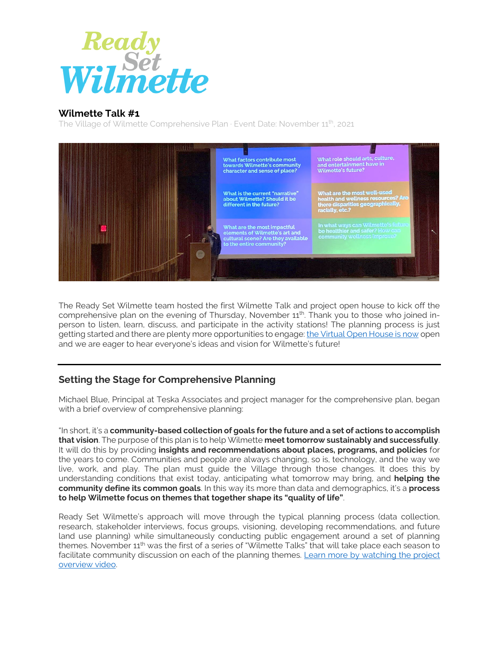

## **Wilmette Talk #1**

The Village of Wilmette Comprehensive Plan  $\cdot$  Event Date: November  $11^{th}$ , 2021



The Ready Set Wilmette team hosted the first Wilmette Talk and project open house to kick off the comprehensive plan on the evening of Thursday, November 11<sup>th</sup>. Thank you to those who joined inperson to listen, learn, discuss, and participate in the activity stations! The planning process is just getting started and there are plenty more opportunities to engage[: the Virtual Open House is now](https://readysetwilmette.com/virtual-open-house/) open and we are eager to hear everyone's ideas and vision for Wilmette's future!

## **Setting the Stage for Comprehensive Planning**

Michael Blue, Principal at Teska Associates and project manager for the comprehensive plan, began with a brief overview of comprehensive planning:

"In short, it's a **community-based collection of goals for the future and a set of actions to accomplish that vision**. The purpose of this plan is to help Wilmette **meet tomorrow sustainably and successfully**. It will do this by providing **insights and recommendations about places, programs, and policies** for the years to come. Communities and people are always changing, so is, technology, and the way we live, work, and play. The plan must guide the Village through those changes. It does this by understanding conditions that exist today, anticipating what tomorrow may bring, and **helping the community define its common goals**. In this way its more than data and demographics, it's a **process to help Wilmette focus on themes that together shape its "quality of life"**.

Ready Set Wilmette's approach will move through the typical planning process (data collection, research, stakeholder interviews, focus groups, visioning, developing recommendations, and future land use planning) while simultaneously conducting public engagement around a set of planning themes. November  $11<sup>th</sup>$  was the first of a series of "Wilmette Talks" that will take place each season to facilitate community discussion on each of the planning themes. [Learn more by watching the project](https://www.youtube.com/watch?v=JZbQF3uiH-c)  [overview video.](https://www.youtube.com/watch?v=JZbQF3uiH-c)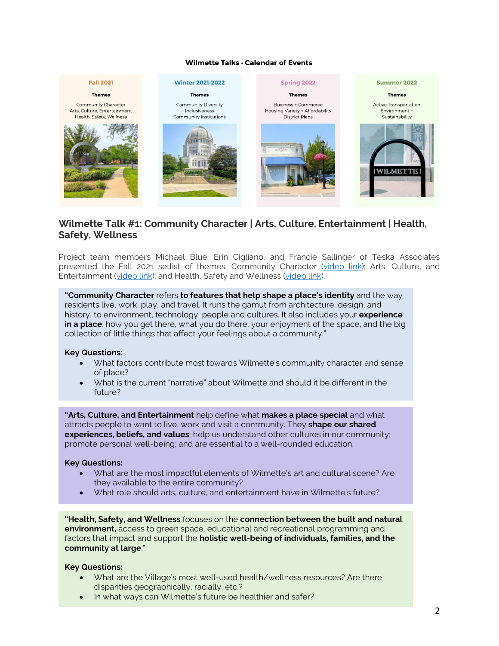#### Wilmette Talks · Calendar of Events



## **Wilmette Talk #1: Community Character | Arts, Culture, Entertainment | Health, Safety, Wellness**

Project team members Michael Blue, Erin Cigliano, and Francie Sallinger of Teska Associates presented the Fall 2021 setlist of themes: Community Character [\(video link\)](https://www.youtube.com/watch?v=yw0H2K2B-Og); Arts, Culture, and Entertainment [\(video link\)](https://www.youtube.com/watch?v=-AD0ccxIef8); and Health, Safety and Wellness [\(video link\)](https://www.youtube.com/watch?v=VbgsVitdCJg).

**"Community Character** refers **to features that help shape a place's identity** and the way residents live, work, play, and travel. It runs the gamut from architecture, design, and history, to environment, technology, people and cultures. It also includes your **experience in a place**: how you get there, what you do there, your enjoyment of the space, and the big collection of little things that affect your feelings about a community."

#### **Key Questions:**

- What factors contribute most towards Wilmette's community character and sense of place?
- What is the current "narrative" about Wilmette and should it be different in the future?

**"Arts, Culture, and Entertainment** help define what **makes a place special** and what attracts people to want to live, work and visit a community. They **shape our shared experiences, beliefs, and values**; help us understand other cultures in our community; promote personal well-being; and are essential to a well-rounded education.

#### **Key Questions:**

- What are the most impactful elements of Wilmette's art and cultural scene? Are they available to the entire community?
- What role should arts, culture, and entertainment have in Wilmette's future?

**"Health, Safety, and Wellness** focuses on the **connection between the built and natural environment,** access to green space, educational and recreational programming and factors that impact and support the **holistic well-being of individuals, families, and the community at large**."

#### **Key Questions:**

- What are the Village's most well-used health/wellness resources? Are there disparities geographically, racially, etc.?
- In what ways can Wilmette's future be healthier and safer?